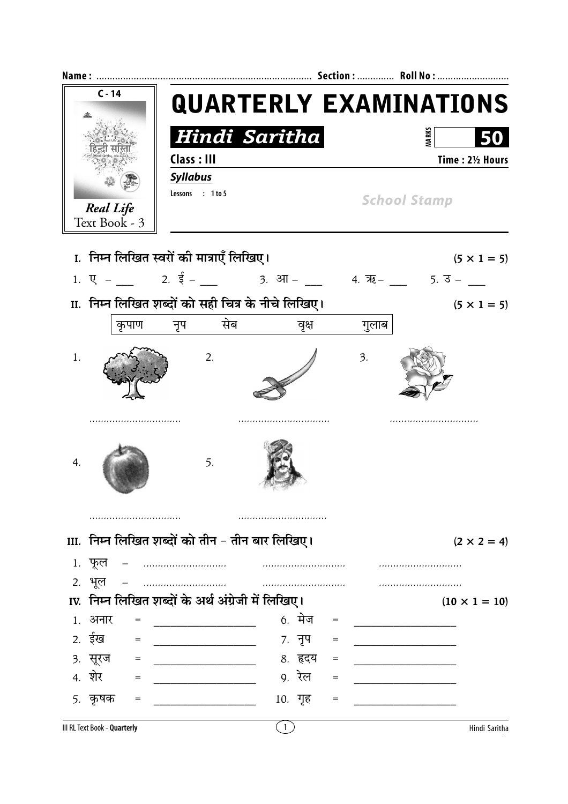| $C - 14$         |                                   |                                                    | <b>QUARTERLY EXAMINATIONS</b> |                                   |                                                                                                                |  |  |  |  |
|------------------|-----------------------------------|----------------------------------------------------|-------------------------------|-----------------------------------|----------------------------------------------------------------------------------------------------------------|--|--|--|--|
|                  |                                   |                                                    | Hindi Saritha                 |                                   | <b>MARKS</b>                                                                                                   |  |  |  |  |
|                  |                                   | Class: III                                         |                               | Time: 21/2 Hours                  |                                                                                                                |  |  |  |  |
|                  |                                   | <b>Syllabus</b>                                    |                               |                                   |                                                                                                                |  |  |  |  |
|                  |                                   | Lessons : 1 to 5                                   |                               |                                   | <b>School Stamp</b>                                                                                            |  |  |  |  |
|                  | <b>Real Life</b><br>Text Book - 3 |                                                    |                               |                                   |                                                                                                                |  |  |  |  |
|                  |                                   |                                                    |                               |                                   |                                                                                                                |  |  |  |  |
|                  |                                   | I. निम्न लिखित स्वरों की मात्राएँ लिखिए।           |                               |                                   | $(5 \times 1 = 5)$                                                                                             |  |  |  |  |
|                  |                                   |                                                    |                               |                                   | 1. $\overline{Q}$ - 2. $\overline{\overline{5}}$ - 3. $\overline{3}$ - 4. $\overline{7}$ - 5. $\overline{3}$ - |  |  |  |  |
|                  |                                   | II. निम्न लिखित शब्दों को सही चित्र के नीचे लिखिए। |                               |                                   | $(5 \times 1 = 5)$                                                                                             |  |  |  |  |
|                  |                                   | कृपाण नृप सेब                                      | वृक्ष                         | गुलाब                             |                                                                                                                |  |  |  |  |
|                  |                                   |                                                    |                               |                                   |                                                                                                                |  |  |  |  |
| 1.               |                                   | 2.                                                 |                               | $\overline{\mathbf{3}}$ .         |                                                                                                                |  |  |  |  |
|                  |                                   |                                                    |                               |                                   |                                                                                                                |  |  |  |  |
| $\overline{4}$ . |                                   | 5.                                                 |                               |                                   |                                                                                                                |  |  |  |  |
|                  |                                   |                                                    |                               |                                   |                                                                                                                |  |  |  |  |
|                  |                                   | III. निम्न लिखित शब्दों को तीन - तीन बार लिखिए।    |                               |                                   | $(2 \times 2 = 4)$                                                                                             |  |  |  |  |
|                  | 1. फूल                            |                                                    |                               |                                   |                                                                                                                |  |  |  |  |
|                  | 2. भूल                            |                                                    |                               |                                   | .                                                                                                              |  |  |  |  |
|                  |                                   | IV. निम्न लिखित शब्दों के अर्थ अंग्रेजी में लिखिए। |                               |                                   | $(10 \times 1 = 10)$                                                                                           |  |  |  |  |
|                  | 1. अनार<br>$=$                    |                                                    | <u>6. मेज</u>                 | $\hspace{1.6cm} = \hspace{1.6cm}$ |                                                                                                                |  |  |  |  |
|                  | 2. ईख<br>$=$                      |                                                    | 7. नृप                        | $=$                               |                                                                                                                |  |  |  |  |
|                  | 3. सूरज<br>$=$                    |                                                    | 8. हृदय                       | $=$                               |                                                                                                                |  |  |  |  |
|                  | 4. शेर<br>$=$                     |                                                    | 9 <i>.</i> रेल                | $=$                               |                                                                                                                |  |  |  |  |
|                  | 5. कृषक<br>$=$                    |                                                    | 10. गृह                       | $=$                               |                                                                                                                |  |  |  |  |
|                  | III RL Text Book - Quarterly      |                                                    | $\vert$ 1                     |                                   | Hindi Saritha                                                                                                  |  |  |  |  |